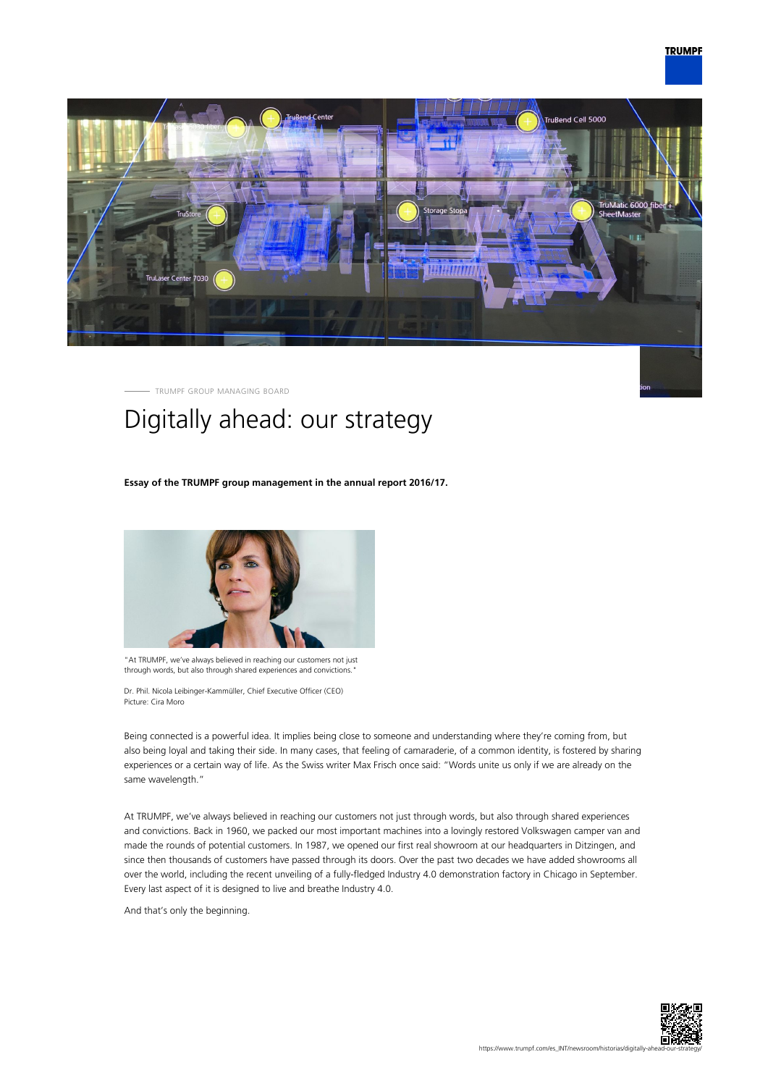



TRUMPF GROUP MANAGING BOARD

# Digitally ahead: our strategy

## **Essay of the TRUMPF group management in the annual report 2016/17.**



"At TRUMPF, we've always believed in reaching our customers not just through words, but also through shared experiences and convictions."

Dr. Phil. Nicola Leibinger-Kammüller, Chief Executive Officer (CEO) Picture: Cira Moro

Being connected is a powerful idea. It implies being close to someone and understanding where they're coming from, but also being loyal and taking their side. In many cases, that feeling of camaraderie, of a common identity, is fostered by sharing experiences or a certain way of life. As the Swiss writer Max Frisch once said: "Words unite us only if we are already on the same wavelength."

At TRUMPF, we've always believed in reaching our customers not just through words, but also through shared experiences and convictions. Back in 1960, we packed our most important machines into a lovingly restored Volkswagen camper van and made the rounds of potential customers. In 1987, we opened our first real showroom at our headquarters in Ditzingen, and since then thousands of customers have passed through its doors. Over the past two decades we have added showrooms all over the world, including the recent unveiling of a fully-fledged Industry 4.0 demonstration factory in Chicago in September. Every last aspect of it is designed to live and breathe Industry 4.0.

And that's only the beginning.

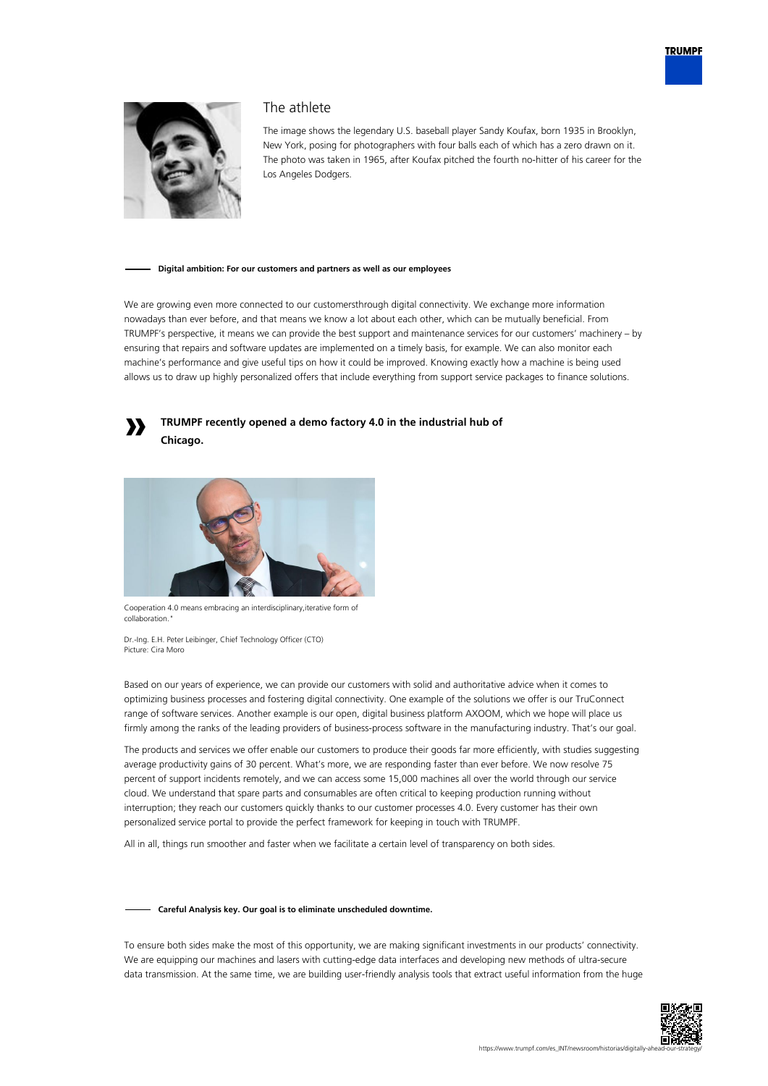



# The athlete

The image shows the legendary U.S. baseball player Sandy Koufax, born 1935 in Brooklyn, New York, posing for photographers with four balls each of which has a zero drawn on it. The photo was taken in 1965, after Koufax pitched the fourth no-hitter of his career for the Los Angeles Dodgers.

#### **Digital ambition: For our customers and partners as well as our employees**

We are growing even more connected to our customersthrough digital connectivity. We exchange more information nowadays than ever before, and that means we know a lot about each other, which can be mutually beneficial. From TRUMPF's perspective, it means we can provide the best support and maintenance services for our customers' machinery – by ensuring that repairs and software updates are implemented on a timely basis, for example. We can also monitor each machine's performance and give useful tips on how it could be improved. Knowing exactly how a machine is being used allows us to draw up highly personalized offers that include everything from support service packages to finance solutions.



# **TRUMPF recently opened a demo factory 4.0 in the industrial hub of Chicago.**



Cooperation 4.0 means embracing an interdisciplinary,iterative form of collaboration."

Dr.-Ing. E.H. Peter Leibinger, Chief Technology Officer (CTO) Picture: Cira Moro

Based on our years of experience, we can provide our customers with solid and authoritative advice when it comes to optimizing business processes and fostering digital connectivity. One example of the solutions we offer is our TruConnect range of software services. Another example is our open, digital business platform AXOOM, which we hope will place us firmly among the ranks of the leading providers of business-process software in the manufacturing industry. That's our goal.

The products and services we offer enable our customers to produce their goods far more efficiently, with studies suggesting average productivity gains of 30 percent. What's more, we are responding faster than ever before. We now resolve 75 percent of support incidents remotely, and we can access some 15,000 machines all over the world through our service cloud. We understand that spare parts and consumables are often critical to keeping production running without interruption; they reach our customers quickly thanks to our customer processes 4.0. Every customer has their own personalized service portal to provide the perfect framework for keeping in touch with TRUMPF.

All in all, things run smoother and faster when we facilitate a certain level of transparency on both sides.

## **Careful Analysis key. Our goal is to eliminate unscheduled downtime.**

To ensure both sides make the most of this opportunity, we are making significant investments in our products' connectivity. We are equipping our machines and lasers with cutting-edge data interfaces and developing new methods of ultra-secure data transmission. At the same time, we are building user-friendly analysis tools that extract useful information from the huge

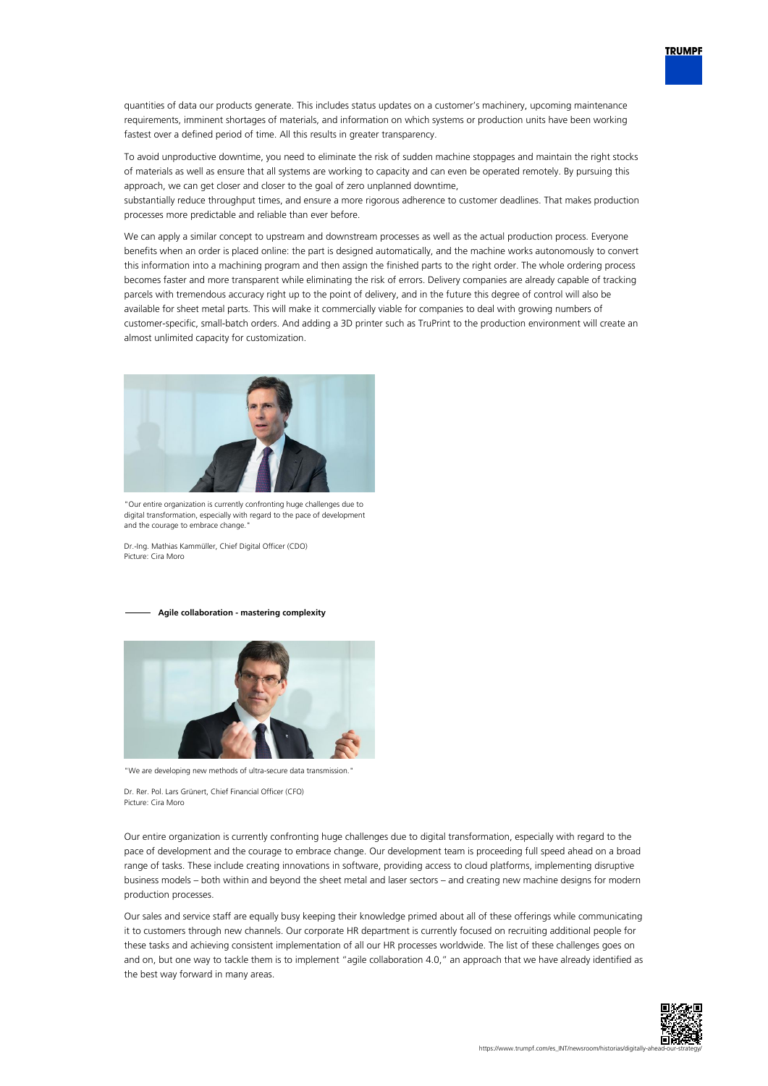

quantities of data our products generate. This includes status updates on a customer's machinery, upcoming maintenance requirements, imminent shortages of materials, and information on which systems or production units have been working fastest over a defined period of time. All this results in greater transparency.

To avoid unproductive downtime, you need to eliminate the risk of sudden machine stoppages and maintain the right stocks of materials as well as ensure that all systems are working to capacity and can even be operated remotely. By pursuing this approach, we can get closer and closer to the goal of zero unplanned downtime,

substantially reduce throughput times, and ensure a more rigorous adherence to customer deadlines. That makes production processes more predictable and reliable than ever before.

We can apply a similar concept to upstream and downstream processes as well as the actual production process. Everyone benefits when an order is placed online: the part is designed automatically, and the machine works autonomously to convert this information into a machining program and then assign the finished parts to the right order. The whole ordering process becomes faster and more transparent while eliminating the risk of errors. Delivery companies are already capable of tracking parcels with tremendous accuracy right up to the point of delivery, and in the future this degree of control will also be available for sheet metal parts. This will make it commercially viable for companies to deal with growing numbers of customer-specific, small-batch orders. And adding a 3D printer such as TruPrint to the production environment will create an almost unlimited capacity for customization.



"Our entire organization is currently confronting huge challenges due to digital transformation, especially with regard to the pace of development and the courage to embrace change.

Dr.-Ing. Mathias Kammüller, Chief Digital Officer (CDO) Picture: Cira Moro

#### **Agile collaboration - mastering complexity**



"We are developing new methods of ultra-secure data transmission."

Dr. Rer. Pol. Lars Grünert, Chief Financial Officer (CFO) Picture: Cira Moro

Our entire organization is currently confronting huge challenges due to digital transformation, especially with regard to the pace of development and the courage to embrace change. Our development team is proceeding full speed ahead on a broad range of tasks. These include creating innovations in software, providing access to cloud platforms, implementing disruptive business models – both within and beyond the sheet metal and laser sectors – and creating new machine designs for modern production processes.

Our sales and service staff are equally busy keeping their knowledge primed about all of these offerings while communicating it to customers through new channels. Our corporate HR department is currently focused on recruiting additional people for these tasks and achieving consistent implementation of all our HR processes worldwide. The list of these challenges goes on and on, but one way to tackle them is to implement "agile collaboration 4.0," an approach that we have already identified as the best way forward in many areas.

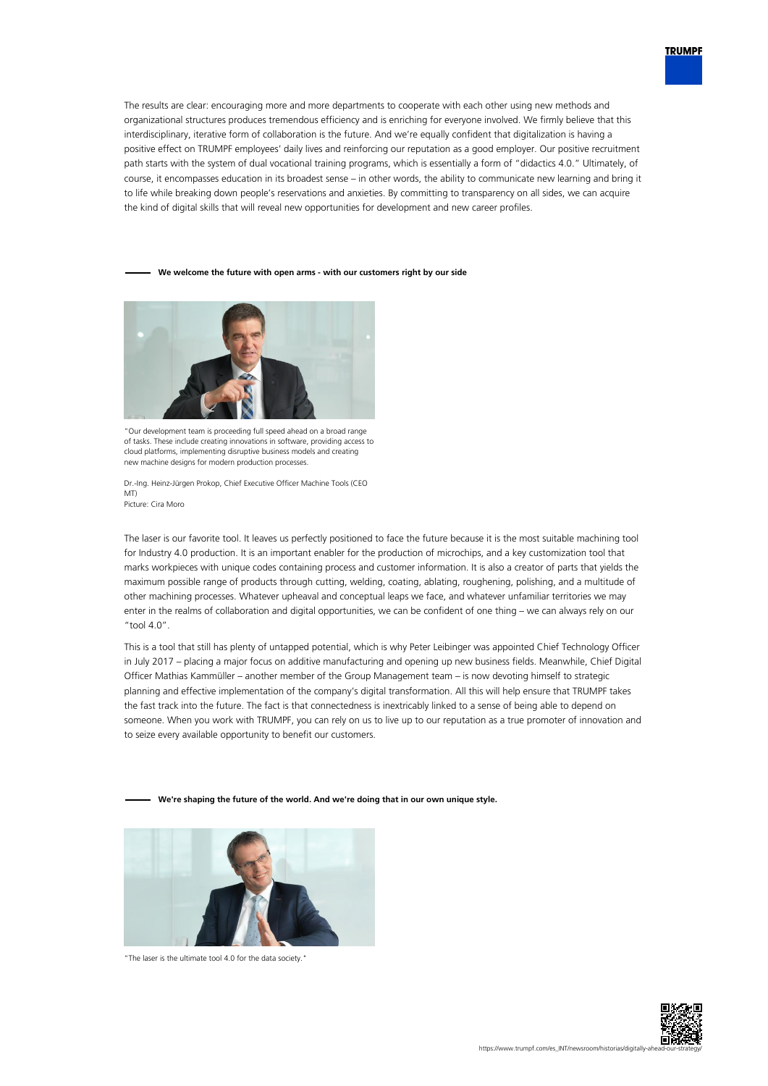

The results are clear: encouraging more and more departments to cooperate with each other using new methods and organizational structures produces tremendous efficiency and is enriching for everyone involved. We firmly believe that this interdisciplinary, iterative form of collaboration is the future. And we're equally confident that digitalization is having a positive effect on TRUMPF employees' daily lives and reinforcing our reputation as a good employer. Our positive recruitment path starts with the system of dual vocational training programs, which is essentially a form of "didactics 4.0." Ultimately, of course, it encompasses education in its broadest sense – in other words, the ability to communicate new learning and bring it to life while breaking down people's reservations and anxieties. By committing to transparency on all sides, we can acquire the kind of digital skills that will reveal new opportunities for development and new career profiles.

## **We welcome the future with open arms - with our customers right by our side**



"Our development team is proceeding full speed ahead on a broad range of tasks. These include creating innovations in software, providing access to cloud platforms, implementing disruptive business models and creating new machine designs for modern production processes.

Dr.-Ing. Heinz-Jürgen Prokop, Chief Executive Officer Machine Tools (CEO MT) Picture: Cira Moro

The laser is our favorite tool. It leaves us perfectly positioned to face the future because it is the most suitable machining tool for Industry 4.0 production. It is an important enabler for the production of microchips, and a key customization tool that marks workpieces with unique codes containing process and customer information. It is also a creator of parts that yields the maximum possible range of products through cutting, welding, coating, ablating, roughening, polishing, and a multitude of other machining processes. Whatever upheaval and conceptual leaps we face, and whatever unfamiliar territories we may enter in the realms of collaboration and digital opportunities, we can be confident of one thing – we can always rely on our "tool  $4.0"$ .

This is a tool that still has plenty of untapped potential, which is why Peter Leibinger was appointed Chief Technology Officer in July 2017 – placing a major focus on additive manufacturing and opening up new business fields. Meanwhile, Chief Digital Officer Mathias Kammüller – another member of the Group Management team – is now devoting himself to strategic planning and effective implementation of the company's digital transformation. All this will help ensure that TRUMPF takes the fast track into the future. The fact is that connectedness is inextricably linked to a sense of being able to depend on someone. When you work with TRUMPF, you can rely on us to live up to our reputation as a true promoter of innovation and to seize every available opportunity to benefit our customers.

**We're shaping the future of the world. And we're doing that in our own unique style.**



"The laser is the ultimate tool 4.0 for the data society."